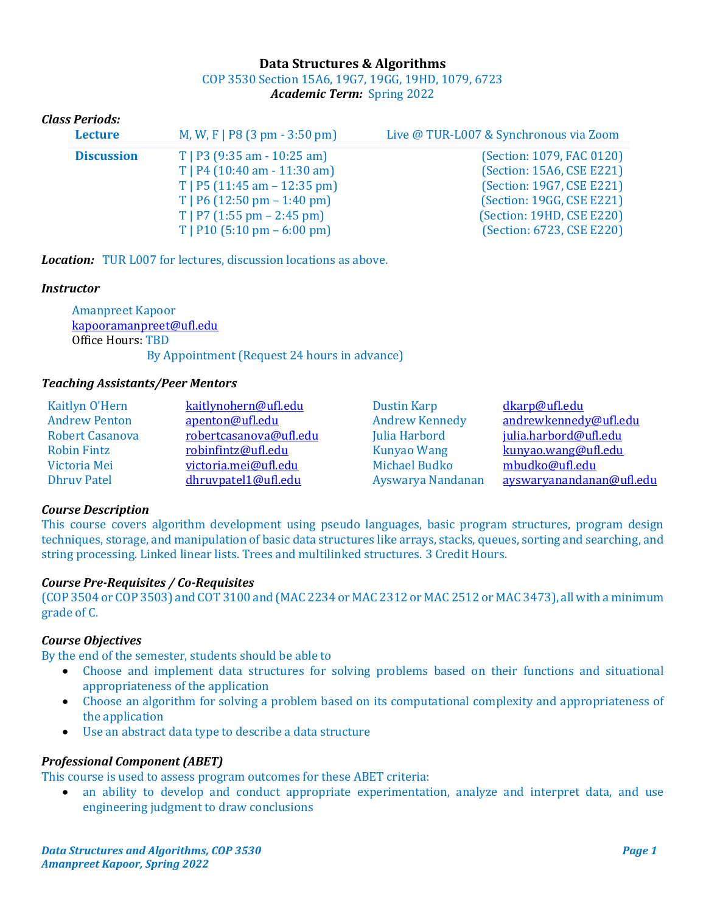# **Data Structures & Algorithms** COP 3530 Section 15A6, 19G7, 19GG, 19HD, 1079, 6723 *Academic Term:* Spring 2022

# *Class Periods:*

| <b>Lecture</b>    | M, W, F   P8 $(3 \text{ pm} - 3:50 \text{ pm})$ | Live @ TUR-L007 & Synchronous via Zoom |
|-------------------|-------------------------------------------------|----------------------------------------|
| <b>Discussion</b> | $T$   P3 (9:35 am - 10:25 am)                   | (Section: 1079, FAC 0120)              |
|                   | $T$   P4 (10:40 am - 11:30 am)                  | (Section: 15A6, CSE E221)              |
|                   | $T$   P5 (11:45 am - 12:35 pm)                  | (Section: 19G7, CSE E221)              |
|                   | $T$   P6 (12:50 pm – 1:40 pm)                   | (Section: 19GG, CSE E221)              |
|                   | $T$   P7 (1:55 pm – 2:45 pm)                    | (Section: 19HD, CSE E220)              |
|                   | $T$   P10 (5:10 pm – 6:00 pm)                   | (Section: 6723, CSE E220)              |

*Location:* TUR L007 for lectures, discussion locations as above.

## *Instructor*

 Amanpreet Kapoor [kapooramanpreet@ufl.edu](mailto:kapooramanpreet@ufl.edu) Office Hours: TBD By Appointment (Request 24 hours in advance)

## *Teaching Assistants/Peer Mentors*

| Kaitlyn O'Hern         | kaitlynohern@ufl.edu   | <b>Dustin Karp</b>    | dkarp@ufl.edu            |
|------------------------|------------------------|-----------------------|--------------------------|
| <b>Andrew Penton</b>   | apenton@ufl.edu        | <b>Andrew Kennedy</b> | andrewkennedy@ufl.edu    |
| <b>Robert Casanova</b> | robertcasanova@ufl.edu | Julia Harbord         | julia.harbord@ufl.edu    |
| <b>Robin Fintz</b>     | robinfintz@ufl.edu     | <b>Kunyao Wang</b>    | kunyao.wang@ufl.edu      |
| Victoria Mei           | victoria.mei@ufl.edu   | <b>Michael Budko</b>  | mbudko@ufl.edu           |
| <b>Dhruy Patel</b>     | dhruvpatel1@ufl.edu    | Ayswarya Nandanan     | ayswaryanandanan@ufl.edu |

# *Course Description*

This course covers algorithm development using pseudo languages, basic program structures, program design techniques, storage, and manipulation of basic data structures like arrays, stacks, queues, sorting and searching, and string processing. Linked linear lists. Trees and multilinked structures. 3 Credit Hours.

### *Course Pre-Requisites / Co-Requisites*

(COP 3504 or COP 3503) and COT 3100 and (MAC 2234 or MAC 2312 or MAC 2512 or MAC 3473), all with a minimum grade of C.

### *Course Objectives*

By the end of the semester, students should be able to

- Choose and implement data structures for solving problems based on their functions and situational appropriateness of the application
- Choose an algorithm for solving a problem based on its computational complexity and appropriateness of the application
- Use an abstract data type to describe a data structure

### *Professional Component (ABET)*

This course is used to assess program outcomes for these ABET criteria:

an ability to develop and conduct appropriate experimentation, analyze and interpret data, and use engineering judgment to draw conclusions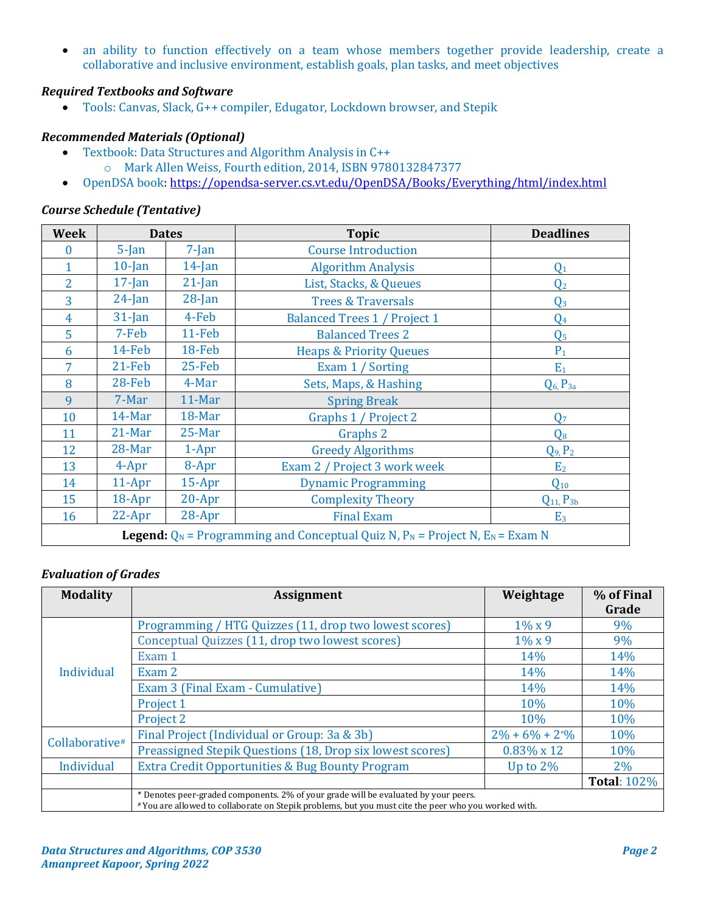• an ability to function effectively on a team whose members together provide leadership, create a collaborative and inclusive environment, establish goals, plan tasks, and meet objectives

# *Required Textbooks and Software*

• Tools: Canvas, Slack, G++ compiler, Edugator, Lockdown browser, and Stepik

## *Recommended Materials (Optional)*

- Textbook: Data Structures and Algorithm Analysis in C++ o Mark Allen Weiss, Fourth edition, 2014, ISBN 9780132847377
- OpenDSA book[: https://opendsa-server.cs.vt.edu/OpenDSA/Books/Everything/html/index.html](https://opendsa-server.cs.vt.edu/OpenDSA/Books/Everything/html/index.html)

# *Course Schedule (Tentative)*

| Week | <b>Dates</b>                                                                                |           | <b>Topic</b>                        | <b>Deadlines</b>    |  |
|------|---------------------------------------------------------------------------------------------|-----------|-------------------------------------|---------------------|--|
| 0    | $5$ -Jan<br>$7-Ian$                                                                         |           | <b>Course Introduction</b>          |                     |  |
|      | $10$ -Jan                                                                                   | $14$ -Jan | <b>Algorithm Analysis</b>           | $Q_1$               |  |
| 2    | $17$ -Jan                                                                                   | $21$ -Jan | List, Stacks, & Queues              | Q <sub>2</sub>      |  |
| 3    | $24$ -Jan                                                                                   | $28$ -Jan | <b>Trees &amp; Traversals</b>       | $Q_3$               |  |
| 4    | $31$ -Jan                                                                                   | 4-Feb     | <b>Balanced Trees 1 / Project 1</b> | $Q_4$               |  |
| 5    | 7-Feb                                                                                       | $11-Feb$  | <b>Balanced Trees 2</b>             | Q <sub>5</sub>      |  |
| 6    | 14-Feb                                                                                      | 18-Feb    | <b>Heaps &amp; Priority Queues</b>  | $P_1$               |  |
| 7    | $21$ -Feb                                                                                   | $25$ -Feb | Exam 1 / Sorting                    | $E_1$               |  |
| 8    | 28-Feb                                                                                      | 4-Mar     | Sets, Maps, & Hashing               | $Q_6$ , $P_{3a}$    |  |
| 9    | 7-Mar                                                                                       | $11-Mar$  | <b>Spring Break</b>                 |                     |  |
| 10   | 14-Mar                                                                                      | $18$ -Mar | Graphs 1 / Project 2                | Q <sub>7</sub>      |  |
| 11   | $21$ -Mar                                                                                   | $25$ -Mar | Graphs 2                            | $Q_8$               |  |
| 12   | 28-Mar                                                                                      | $1-Apr$   | <b>Greedy Algorithms</b>            | $Q_9$ , $P_2$       |  |
| 13   | 4-Apr                                                                                       | 8-Apr     | Exam 2 / Project 3 work week        | E <sub>2</sub>      |  |
| 14   | $11-Apr$                                                                                    | $15$ -Apr | <b>Dynamic Programming</b>          | $Q_{10}$            |  |
| 15   | 18-Apr                                                                                      | $20-Apr$  | <b>Complexity Theory</b>            | $Q_{11}$ , $P_{3b}$ |  |
| 16   | $22-Apr$                                                                                    | $28-Apr$  | <b>Final Exam</b><br>E <sub>3</sub> |                     |  |
|      | <b>Legend:</b> $Q_N$ = Programming and Conceptual Quiz N, $P_N$ = Project N, $E_N$ = Exam N |           |                                     |                     |  |

### *Evaluation of Grades*

| <b>Modality</b> | <b>Assignment</b>                                                                                                                                                                          |                    | % of Final<br>Grade |  |  |
|-----------------|--------------------------------------------------------------------------------------------------------------------------------------------------------------------------------------------|--------------------|---------------------|--|--|
|                 | Programming / HTG Quizzes (11, drop two lowest scores)                                                                                                                                     | $1\% \times 9$     | 9%                  |  |  |
|                 | Conceptual Quizzes (11, drop two lowest scores)                                                                                                                                            | $1\% \times 9$     | 9%                  |  |  |
|                 | Exam 1                                                                                                                                                                                     | 14%                | 14%                 |  |  |
| Individual      | Exam 2                                                                                                                                                                                     | 14%                | 14%                 |  |  |
|                 | Exam 3 (Final Exam - Cumulative)                                                                                                                                                           | 14%                | 14%                 |  |  |
|                 | Project 1                                                                                                                                                                                  | 10%                | 10%                 |  |  |
|                 | Project 2                                                                                                                                                                                  | 10%                | 10%                 |  |  |
| Collaborative#  | Final Project (Individual or Group: 3a & 3b)                                                                                                                                               | $2\% + 6\% + 2\%$  | 10%                 |  |  |
|                 | Preassigned Stepik Questions (18, Drop six lowest scores)                                                                                                                                  | $0.83\% \times 12$ | 10%                 |  |  |
| Individual      | <b>Extra Credit Opportunities &amp; Bug Bounty Program</b>                                                                                                                                 | Up to $2\%$        | 2%                  |  |  |
|                 |                                                                                                                                                                                            |                    | <b>Total: 102%</b>  |  |  |
|                 | * Denotes peer-graded components. 2% of your grade will be evaluated by your peers.<br>#You are allowed to collaborate on Stepik problems, but you must cite the peer who you worked with. |                    |                     |  |  |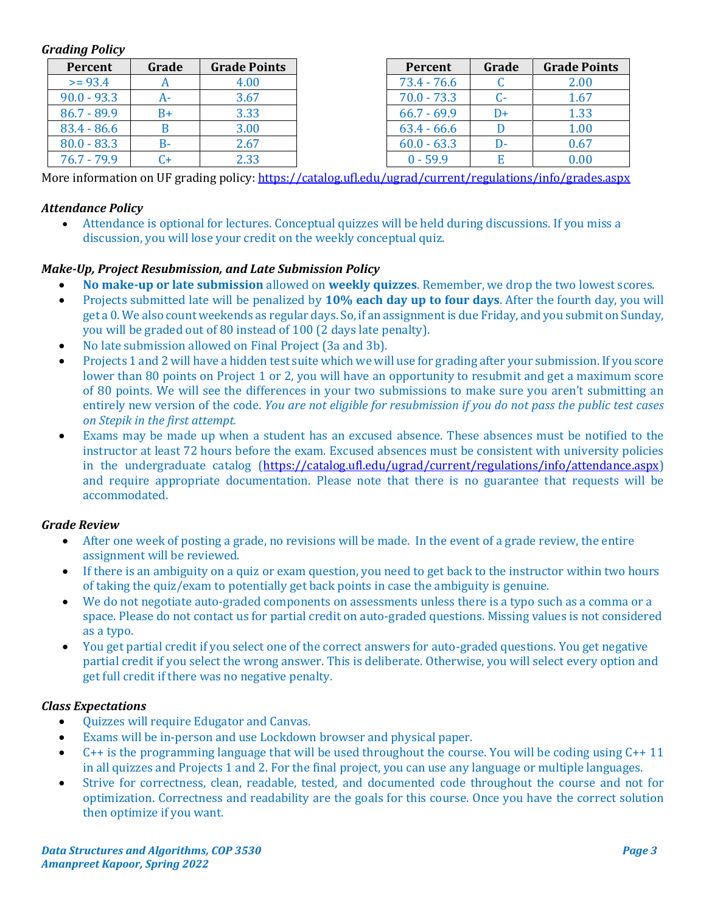## *Grading Policy*

| Percent       | Grade | <b>Grade Points</b> | Percent       | Grade | <b>Grade Points</b> |
|---------------|-------|---------------------|---------------|-------|---------------------|
| $>= 93.4$     |       | 4.00                | $73.4 - 76.6$ |       | 2.00                |
| $90.0 - 93.3$ |       | 3.67                | $70.0 - 73.3$ | $C-$  | 1.67                |
| $86.7 - 89.9$ |       | 3.33                | $66.7 - 69.9$ | D+    | 1.33                |
| $83.4 - 86.6$ |       | 3.00                | $63.4 - 66.6$ |       | 1.00                |
| $80.0 - 83.3$ |       | 2.67                | $60.0 - 63.3$ | D-    | 0.67                |
| $76.7 - 79.9$ |       | 2.33                | $0 - 59.9$    |       | 0.00                |

More information on UF grading policy:<https://catalog.ufl.edu/ugrad/current/regulations/info/grades.aspx>

## *Attendance Policy*

• Attendance is optional for lectures. Conceptual quizzes will be held during discussions. If you miss a discussion, you will lose your credit on the weekly conceptual quiz.

## *Make-Up, Project Resubmission, and Late Submission Policy*

- **No make-up or late submission** allowed on **weekly quizzes**. Remember, we drop the two lowest scores.
- Projects submitted late will be penalized by **10% each day up to four days**. After the fourth day, you will get a 0. We also count weekends as regular days. So, if an assignment is due Friday, and you submit on Sunday, you will be graded out of 80 instead of 100 (2 days late penalty).
- No late submission allowed on Final Project (3a and 3b).
- Projects 1 and 2 will have a hidden test suite which we will use for grading after your submission. If you score lower than 80 points on Project 1 or 2, you will have an opportunity to resubmit and get a maximum score of 80 points. We will see the differences in your two submissions to make sure you aren't submitting an entirely new version of the code. *You are not eligible for resubmission if you do not pass the public test cases on Stepik in the first attempt.*
- Exams may be made up when a student has an excused absence. These absences must be notified to the instructor at least 72 hours before the exam. Excused absences must be consistent with university policies in the undergraduate catalog [\(https://catalog.ufl.edu/ugrad/current/regulations/info/attendance.aspx\)](https://catalog.ufl.edu/ugrad/current/regulations/info/attendance.aspx) and require appropriate documentation. Please note that there is no guarantee that requests will be accommodated.

### *Grade Review*

- After one week of posting a grade, no revisions will be made. In the event of a grade review, the entire assignment will be reviewed.
- If there is an ambiguity on a quiz or exam question, you need to get back to the instructor within two hours of taking the quiz/exam to potentially get back points in case the ambiguity is genuine.
- We do not negotiate auto-graded components on assessments unless there is a typo such as a comma or a space. Please do not contact us for partial credit on auto-graded questions. Missing values is not considered as a typo.
- You get partial credit if you select one of the correct answers for auto-graded questions. You get negative partial credit if you select the wrong answer. This is deliberate. Otherwise, you will select every option and get full credit if there was no negative penalty.

### *Class Expectations*

- Quizzes will require Edugator and Canvas.
- Exams will be in-person and use Lockdown browser and physical paper.
- C++ is the programming language that will be used throughout the course. You will be coding using C++ 11 in all quizzes and Projects 1 and 2. For the final project, you can use any language or multiple languages.
- Strive for correctness, clean, readable, tested, and documented code throughout the course and not for optimization. Correctness and readability are the goals for this course. Once you have the correct solution then optimize if you want.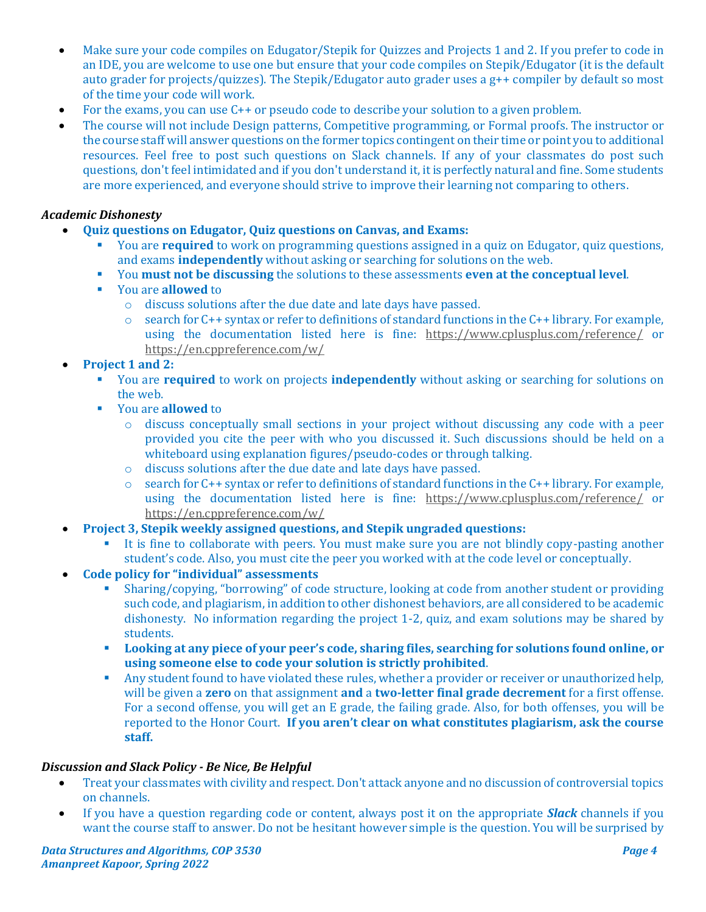- Make sure your code compiles on Edugator/Stepik for Quizzes and Projects 1 and 2. If you prefer to code in an IDE, you are welcome to use one but ensure that your code compiles on Stepik/Edugator (it is the default auto grader for projects/quizzes). The Stepik/Edugator auto grader uses a g++ compiler by default so most of the time your code will work.
- For the exams, you can use C++ or pseudo code to describe your solution to a given problem.
- The course will not include Design patterns, Competitive programming, or Formal proofs. The instructor or the course staff will answer questions on the former topics contingent on their time or point you to additional resources. Feel free to post such questions on Slack channels. If any of your classmates do post such questions, don't feel intimidated and if you don't understand it, it is perfectly natural and fine. Some students are more experienced, and everyone should strive to improve their learning not comparing to others.

# *Academic Dishonesty*

- **Quiz questions on Edugator, Quiz questions on Canvas, and Exams:** 
	- **You are required** to work on programming questions assigned in a quiz on Edugator, quiz questions, and exams **independently** without asking or searching for solutions on the web.
	- You **must not be discussing** the solutions to these assessments **even at the conceptual level**.
	- You are **allowed** to
		- o discuss solutions after the due date and late days have passed.
		- $\circ$  search for C++ syntax or refer to definitions of standard functions in the C++ library. For example, using the documentation listed here is fine: <https://www.cplusplus.com/reference/> or <https://en.cppreference.com/w/>

# • **Project 1 and 2:**

- You are **required** to work on projects **independently** without asking or searching for solutions on the web.
- You are **allowed** to
	- o discuss conceptually small sections in your project without discussing any code with a peer provided you cite the peer with who you discussed it. Such discussions should be held on a whiteboard using explanation figures/pseudo-codes or through talking.
	- o discuss solutions after the due date and late days have passed.
	- $\circ$  search for C++ syntax or refer to definitions of standard functions in the C++ library. For example, using the documentation listed here is fine: <https://www.cplusplus.com/reference/> or <https://en.cppreference.com/w/>
- **Project 3, Stepik weekly assigned questions, and Stepik ungraded questions:** 
	- It is fine to collaborate with peers. You must make sure you are not blindly copy-pasting another student's code. Also, you must cite the peer you worked with at the code level or conceptually.
- **Code policy for "individual" assessments** 
	- Sharing/copying, "borrowing" of code structure, looking at code from another student or providing such code, and plagiarism, in addition to other dishonest behaviors, are all considered to be academic dishonesty. No information regarding the project 1-2, quiz, and exam solutions may be shared by students.
	- **Looking at any piece of your peer's code, sharing files, searching for solutions found online, or using someone else to code your solution is strictly prohibited**.
	- **Any student found to have violated these rules, whether a provider or receiver or unauthorized help,** will be given a **zero** on that assignment **and** a **two-letter final grade decrement** for a first offense. For a second offense, you will get an E grade, the failing grade. Also, for both offenses, you will be reported to the Honor Court. **If you aren't clear on what constitutes plagiarism, ask the course staff.**

# *Discussion and Slack Policy - Be Nice, Be Helpful*

- Treat your classmates with civility and respect. Don't attack anyone and no discussion of controversial topics on channels.
- If you have a question regarding code or content, always post it on the appropriate *Slack* channels if you want the course staff to answer. Do not be hesitant however simple is the question. You will be surprised by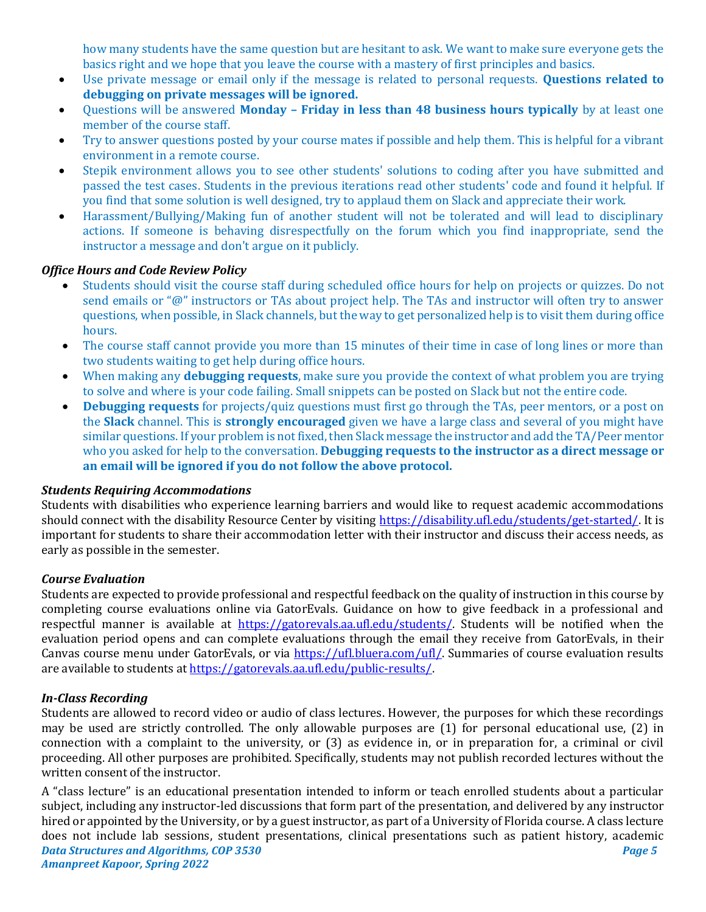how many students have the same question but are hesitant to ask. We want to make sure everyone gets the basics right and we hope that you leave the course with a mastery of first principles and basics.

- Use private message or email only if the message is related to personal requests. **Questions related to debugging on private messages will be ignored.**
- Questions will be answered **Monday – Friday in less than 48 business hours typically** by at least one member of the course staff.
- Try to answer questions posted by your course mates if possible and help them. This is helpful for a vibrant environment in a remote course.
- Stepik environment allows you to see other students' solutions to coding after you have submitted and passed the test cases. Students in the previous iterations read other students' code and found it helpful. If you find that some solution is well designed, try to applaud them on Slack and appreciate their work.
- Harassment/Bullying/Making fun of another student will not be tolerated and will lead to disciplinary actions. If someone is behaving disrespectfully on the forum which you find inappropriate, send the instructor a message and don't argue on it publicly.

## *Office Hours and Code Review Policy*

- Students should visit the course staff during scheduled office hours for help on projects or quizzes. Do not send emails or "@" instructors or TAs about project help. The TAs and instructor will often try to answer questions, when possible, in Slack channels, but the way to get personalized help is to visit them during office hours.
- The course staff cannot provide you more than 15 minutes of their time in case of long lines or more than two students waiting to get help during office hours.
- When making any **debugging requests**, make sure you provide the context of what problem you are trying to solve and where is your code failing. Small snippets can be posted on Slack but not the entire code.
- **Debugging requests** for projects/quiz questions must first go through the TAs, peer mentors, or a post on the **Slack** channel. This is **strongly encouraged** given we have a large class and several of you might have similar questions. If your problem is not fixed, then Slack message the instructor and add the TA/Peer mentor who you asked for help to the conversation. **Debugging requests to the instructor as a direct message or an email will be ignored if you do not follow the above protocol.**

### *Students Requiring Accommodations*

Students with disabilities who experience learning barriers and would like to request academic accommodations should connect with the disability Resource Center by visiting [https://disability.ufl.edu/students/get-started/.](https://disability.ufl.edu/students/get-started/) It is important for students to share their accommodation letter with their instructor and discuss their access needs, as early as possible in the semester.

### *Course Evaluation*

Students are expected to provide professional and respectful feedback on the quality of instruction in this course by completing course evaluations online via GatorEvals. Guidance on how to give feedback in a professional and respectful manner is available at [https://gatorevals.aa.ufl.edu/students/.](https://gatorevals.aa.ufl.edu/students/) Students will be notified when the evaluation period opens and can complete evaluations through the email they receive from GatorEvals, in their Canvas course menu under GatorEvals, or via [https://ufl.bluera.com/ufl/.](https://ufl.bluera.com/ufl/) Summaries of course evaluation results are available to students a[t https://gatorevals.aa.ufl.edu/public-results/.](https://gatorevals.aa.ufl.edu/public-results/)

### *In-Class Recording*

Students are allowed to record video or audio of class lectures. However, the purposes for which these recordings may be used are strictly controlled. The only allowable purposes are (1) for personal educational use, (2) in connection with a complaint to the university, or (3) as evidence in, or in preparation for, a criminal or civil proceeding. All other purposes are prohibited. Specifically, students may not publish recorded lectures without the written consent of the instructor.

*Data Structures and Algorithms, COP 3530 Page 5 Amanpreet Kapoor, Spring 2022* A "class lecture" is an educational presentation intended to inform or teach enrolled students about a particular subject, including any instructor-led discussions that form part of the presentation, and delivered by any instructor hired or appointed by the University, or by a guest instructor, as part of a University of Florida course. A class lecture does not include lab sessions, student presentations, clinical presentations such as patient history, academic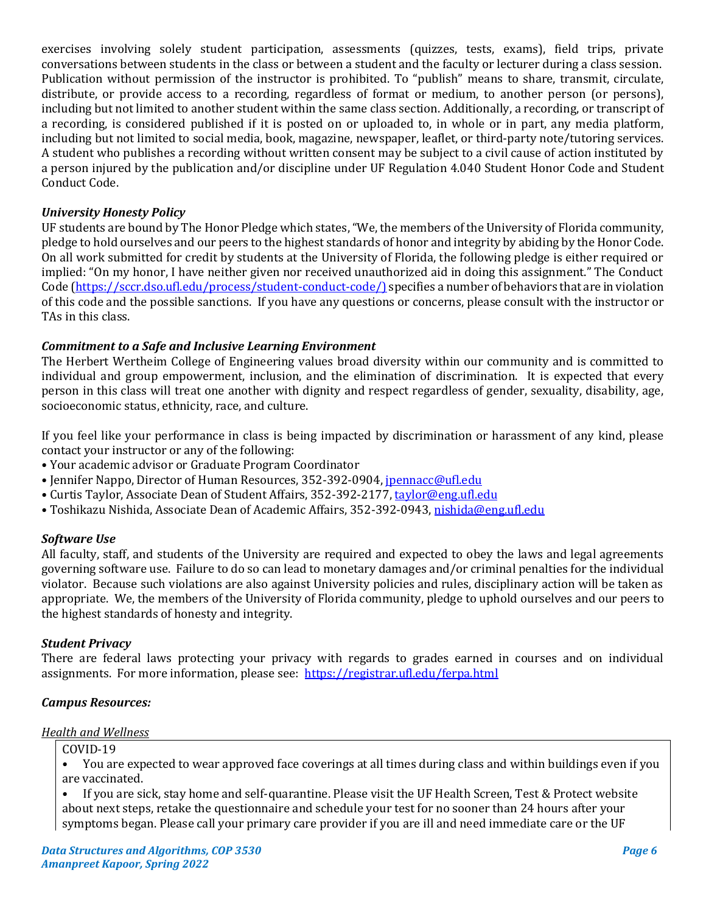exercises involving solely student participation, assessments (quizzes, tests, exams), field trips, private conversations between students in the class or between a student and the faculty or lecturer during a class session. Publication without permission of the instructor is prohibited. To "publish" means to share, transmit, circulate, distribute, or provide access to a recording, regardless of format or medium, to another person (or persons), including but not limited to another student within the same class section. Additionally, a recording, or transcript of a recording, is considered published if it is posted on or uploaded to, in whole or in part, any media platform, including but not limited to social media, book, magazine, newspaper, leaflet, or third-party note/tutoring services. A student who publishes a recording without written consent may be subject to a civil cause of action instituted by a person injured by the publication and/or discipline under UF Regulation 4.040 Student Honor Code and Student Conduct Code.

# *University Honesty Policy*

UF students are bound by The Honor Pledge which states, "We, the members of the University of Florida community, pledge to hold ourselves and our peers to the highest standards of honor and integrity by abiding by the Honor Code. On all work submitted for credit by students at the University of Florida, the following pledge is either required or implied: "On my honor, I have neither given nor received unauthorized aid in doing this assignment." The Conduct Code [\(https://sccr.dso.ufl.edu/process/student-conduct-code/\)](https://sccr.dso.ufl.edu/process/student-conduct-code/) specifies a number of behaviors that are in violation of this code and the possible sanctions. If you have any questions or concerns, please consult with the instructor or TAs in this class.

# *Commitment to a Safe and Inclusive Learning Environment*

The Herbert Wertheim College of Engineering values broad diversity within our community and is committed to individual and group empowerment, inclusion, and the elimination of discrimination. It is expected that every person in this class will treat one another with dignity and respect regardless of gender, sexuality, disability, age, socioeconomic status, ethnicity, race, and culture.

If you feel like your performance in class is being impacted by discrimination or harassment of any kind, please contact your instructor or any of the following:

- Your academic advisor or Graduate Program Coordinator
- Jennifer Nappo, Director of Human Resources, 352-392-0904, [jpennacc@ufl.edu](mailto:jpennacc@ufl.edu)
- Curtis Taylor, Associate Dean of Student Affairs, 352-392-2177[, taylor@eng.ufl.edu](mailto:taylor@eng.ufl.edu)
- Toshikazu Nishida, Associate Dean of Academic Affairs, 352-392-0943[, nishida@eng.ufl.edu](mailto:nishida@eng.ufl.edu)

### *Software Use*

All faculty, staff, and students of the University are required and expected to obey the laws and legal agreements governing software use. Failure to do so can lead to monetary damages and/or criminal penalties for the individual violator. Because such violations are also against University policies and rules, disciplinary action will be taken as appropriate. We, the members of the University of Florida community, pledge to uphold ourselves and our peers to the highest standards of honesty and integrity.

### *Student Privacy*

There are federal laws protecting your privacy with regards to grades earned in courses and on individual assignments. For more information, please see: <https://registrar.ufl.edu/ferpa.html>

### *Campus Resources:*

### *Health and Wellness*

COVID-19

• You are expected to wear approved face coverings at all times during class and within buildings even if you are vaccinated.

• If you are sick, stay home and self-quarantine. Please visit the UF Health Screen, Test & Protect website about next steps, retake the questionnaire and schedule your test for no sooner than 24 hours after your symptoms began. Please call your primary care provider if you are ill and need immediate care or the UF